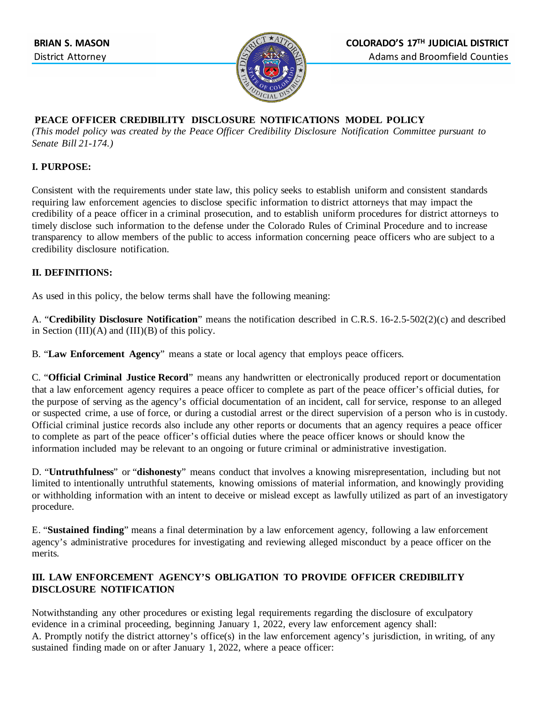

#### **PEACE OFFICER CREDIBILITY DISCLOSURE NOTIFICATIONS MODEL POLICY**

*(This model policy was created by the Peace Officer Credibility Disclosure Notification Committee pursuant to Senate Bill 21-174.)* 

### **I. PURPOSE:**

Consistent with the requirements under state law, this policy seeks to establish uniform and consistent standards requiring law enforcement agencies to disclose specific information to district attorneys that may impact the credibility of a peace officer in a criminal prosecution, and to establish uniform procedures for district attorneys to timely disclose such information to the defense under the Colorado Rules of Criminal Procedure and to increase transparency to allow members of the public to access information concerning peace officers who are subject to a credibility disclosure notification.

# **II. DEFINITIONS:**

As used in this policy, the below terms shall have the following meaning:

A. "**Credibility Disclosure Notification**" means the notification described in C.R.S. 16-2.5-502(2)(c) and described in Section  $(III)(A)$  and  $(III)(B)$  of this policy.

B. "**Law Enforcement Agency**" means a state or local agency that employs peace officers.

C. "**Official Criminal Justice Record**" means any handwritten or electronically produced report or documentation that a law enforcement agency requires a peace officer to complete as part of the peace officer's official duties, for the purpose of serving as the agency's official documentation of an incident, call for service, response to an alleged or suspected crime, a use of force, or during a custodial arrest or the direct supervision of a person who is in custody. Official criminal justice records also include any other reports or documents that an agency requires a peace officer to complete as part of the peace officer's official duties where the peace officer knows or should know the information included may be relevant to an ongoing or future criminal or administrative investigation.

D. "**Untruthfulness**" or "**dishonesty**" means conduct that involves a knowing misrepresentation, including but not limited to intentionally untruthful statements, knowing omissions of material information, and knowingly providing or withholding information with an intent to deceive or mislead except as lawfully utilized as part of an investigatory procedure.

E. "**Sustained finding**" means a final determination by a law enforcement agency, following a law enforcement agency's administrative procedures for investigating and reviewing alleged misconduct by a peace officer on the merits.

# **III. LAW ENFORCEMENT AGENCY'S OBLIGATION TO PROVIDE OFFICER CREDIBILITY DISCLOSURE NOTIFICATION**

Notwithstanding any other procedures or existing legal requirements regarding the disclosure of exculpatory evidence in a criminal proceeding, beginning January 1, 2022, every law enforcement agency shall: A. Promptly notify the district attorney's office(s) in the law enforcement agency's jurisdiction, in writing, of any sustained finding made on or after January 1, 2022, where a peace officer: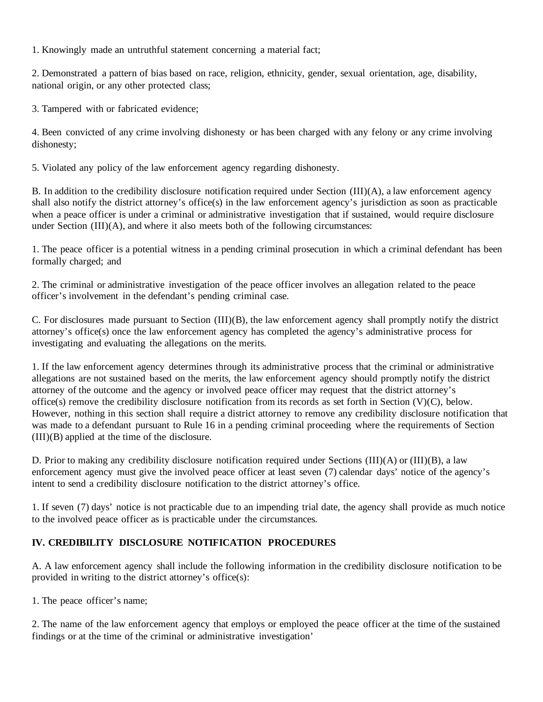1. Knowingly made an untruthful statement concerning a material fact;

2. Demonstrated a pattern of bias based on race, religion, ethnicity, gender, sexual orientation, age, disability, national origin, or any other protected class;

3. Tampered with or fabricated evidence;

4. Been convicted of any crime involving dishonesty or has been charged with any felony or any crime involving dishonesty;

5. Violated any policy of the law enforcement agency regarding dishonesty.

B. In addition to the credibility disclosure notification required under Section (III)(A), a law enforcement agency shall also notify the district attorney's office(s) in the law enforcement agency's jurisdiction as soon as practicable when a peace officer is under a criminal or administrative investigation that if sustained, would require disclosure under Section (III)(A), and where it also meets both of the following circumstances:

1. The peace officer is a potential witness in a pending criminal prosecution in which a criminal defendant has been formally charged; and

2. The criminal or administrative investigation of the peace officer involves an allegation related to the peace officer's involvement in the defendant's pending criminal case.

C. For disclosures made pursuant to Section (III)(B), the law enforcement agency shall promptly notify the district attorney's office(s) once the law enforcement agency has completed the agency's administrative process for investigating and evaluating the allegations on the merits.

1. If the law enforcement agency determines through its administrative process that the criminal or administrative allegations are not sustained based on the merits, the law enforcement agency should promptly notify the district attorney of the outcome and the agency or involved peace officer may request that the district attorney's office(s) remove the credibility disclosure notification from its records as set forth in Section (V)(C), below. However, nothing in this section shall require a district attorney to remove any credibility disclosure notification that was made to a defendant pursuant to Rule 16 in a pending criminal proceeding where the requirements of Section (III)(B) applied at the time of the disclosure.

D. Prior to making any credibility disclosure notification required under Sections (III)(A) or (III)(B), a law enforcement agency must give the involved peace officer at least seven (7) calendar days' notice of the agency's intent to send a credibility disclosure notification to the district attorney's office.

1. If seven (7) days' notice is not practicable due to an impending trial date, the agency shall provide as much notice to the involved peace officer as is practicable under the circumstances.

#### **IV. CREDIBILITY DISCLOSURE NOTIFICATION PROCEDURES**

A. A law enforcement agency shall include the following information in the credibility disclosure notification to be provided in writing to the district attorney's office(s):

1. The peace officer's name;

2. The name of the law enforcement agency that employs or employed the peace officer at the time of the sustained findings or at the time of the criminal or administrative investigation'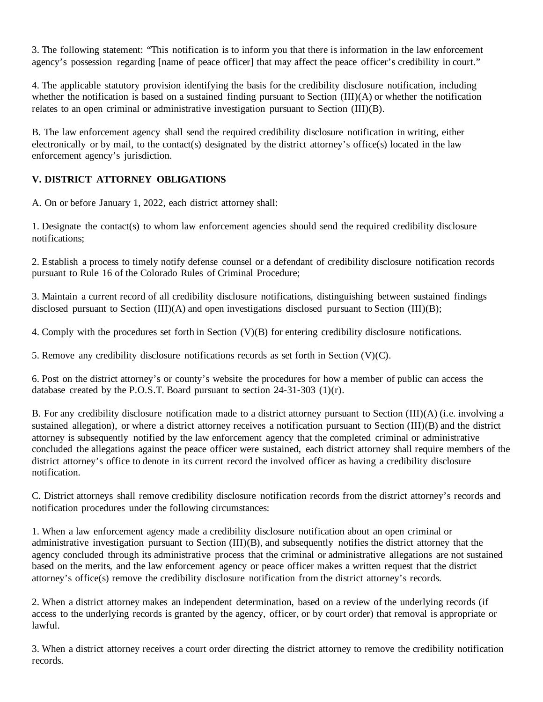3. The following statement: "This notification is to inform you that there is information in the law enforcement agency's possession regarding [name of peace officer] that may affect the peace officer's credibility in court."

4. The applicable statutory provision identifying the basis for the credibility disclosure notification, including whether the notification is based on a sustained finding pursuant to Section (III)(A) or whether the notification relates to an open criminal or administrative investigation pursuant to Section (III)(B).

B. The law enforcement agency shall send the required credibility disclosure notification in writing, either electronically or by mail, to the contact(s) designated by the district attorney's office(s) located in the law enforcement agency's jurisdiction.

#### **V. DISTRICT ATTORNEY OBLIGATIONS**

A. On or before January 1, 2022, each district attorney shall:

1. Designate the contact(s) to whom law enforcement agencies should send the required credibility disclosure notifications;

2. Establish a process to timely notify defense counsel or a defendant of credibility disclosure notification records pursuant to Rule 16 of the Colorado Rules of Criminal Procedure;

3. Maintain a current record of all credibility disclosure notifications, distinguishing between sustained findings disclosed pursuant to Section (III)(A) and open investigations disclosed pursuant to Section (III)(B);

4. Comply with the procedures set forth in Section (V)(B) for entering credibility disclosure notifications.

5. Remove any credibility disclosure notifications records as set forth in Section (V)(C).

6. Post on the district attorney's or county's website the procedures for how a member of public can access the database created by the P.O.S.T. Board pursuant to section 24-31-303 (1)(r).

B. For any credibility disclosure notification made to a district attorney pursuant to Section (III)(A) (i.e. involving a sustained allegation), or where a district attorney receives a notification pursuant to Section (III)(B) and the district attorney is subsequently notified by the law enforcement agency that the completed criminal or administrative concluded the allegations against the peace officer were sustained, each district attorney shall require members of the district attorney's office to denote in its current record the involved officer as having a credibility disclosure notification.

C. District attorneys shall remove credibility disclosure notification records from the district attorney's records and notification procedures under the following circumstances:

1. When a law enforcement agency made a credibility disclosure notification about an open criminal or administrative investigation pursuant to Section (III)(B), and subsequently notifies the district attorney that the agency concluded through its administrative process that the criminal or administrative allegations are not sustained based on the merits, and the law enforcement agency or peace officer makes a written request that the district attorney's office(s) remove the credibility disclosure notification from the district attorney's records.

2. When a district attorney makes an independent determination, based on a review of the underlying records (if access to the underlying records is granted by the agency, officer, or by court order) that removal is appropriate or lawful.

3. When a district attorney receives a court order directing the district attorney to remove the credibility notification records.